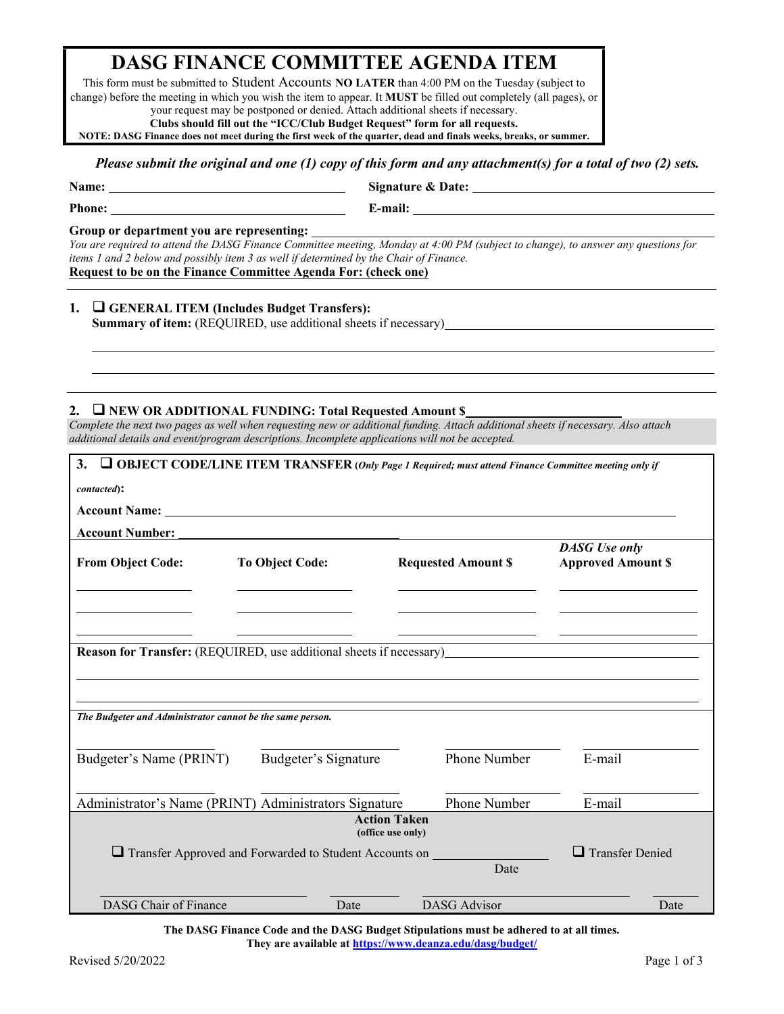# **DASG FINANCE COMMITTEE AGENDA ITEM**

This form must be submitted to Student Accounts **NO LATER** than 4:00 PM on the Tuesday (subject to change) before the meeting in which you wish the item to appear. It **MUST** be filled out completely (all pages), or your request may be postponed or denied. Attach additional sheets if necessary.

**Clubs should fill out the "ICC/Club Budget Request" form for all requests.**

**NOTE: DASG Finance does not meet during the first week of the quarter, dead and finals weeks, breaks, or summer.** 

#### *Please submit the original and one (1) copy of this form and any attachment(s) for a total of two (2) sets.*

**Name:** <u>Signature & Date:</u> **Signature & Date:** 

l l

**Phone:** <u>**E**-mail: **E**-mail: **E**-mail: **E**-mail: **E**-mail: **E**-mail: **E**-mail: **E**-mail: **E**-mail: **E**-mail: **E**-mail: **E**-mail: **E**-mail: **E**-mail: **E**-mail: **E**-mail: **E**-mail: **E**-mail: **E**-mail: **E**-mail: **E**-mail: **</u>** 

#### **Group or department you are representing:**

*You are required to attend the DASG Finance Committee meeting, Monday at 4:00 PM (subject to change), to answer any questions for items 1 and 2 below and possibly item 3 as well if determined by the Chair of Finance.*  **Request to be on the Finance Committee Agenda For: (check one)**

### **1. GENERAL ITEM (Includes Budget Transfers): Summary of item:** (REQUIRED, use additional sheets if necessary)

## **2. NEW OR ADDITIONAL FUNDING: Total Requested Amount \$**

*Complete the next two pages as well when requesting new or additional funding. Attach additional sheets if necessary. Also attach additional details and event/program descriptions. Incomplete applications will not be accepted.*

| 3.                                                                  |                                                                      |                                          | $\Box$ OBJECT CODE/LINE ITEM TRANSFER (Only Page 1 Required; must attend Finance Committee meeting only if |
|---------------------------------------------------------------------|----------------------------------------------------------------------|------------------------------------------|------------------------------------------------------------------------------------------------------------|
| contacted):                                                         |                                                                      |                                          |                                                                                                            |
| <b>Account Name:</b>                                                |                                                                      |                                          |                                                                                                            |
| <b>Account Number:</b>                                              |                                                                      |                                          |                                                                                                            |
| <b>From Object Code:</b>                                            | <b>To Object Code:</b>                                               | <b>Requested Amount \$</b>               | <b>DASG</b> Use only<br><b>Approved Amount \$</b>                                                          |
|                                                                     |                                                                      |                                          |                                                                                                            |
| Reason for Transfer: (REQUIRED, use additional sheets if necessary) |                                                                      |                                          |                                                                                                            |
|                                                                     |                                                                      |                                          |                                                                                                            |
|                                                                     |                                                                      |                                          |                                                                                                            |
| The Budgeter and Administrator cannot be the same person.           |                                                                      |                                          |                                                                                                            |
|                                                                     |                                                                      |                                          |                                                                                                            |
| Budgeter's Name (PRINT)                                             | Budgeter's Signature                                                 | Phone Number                             | E-mail                                                                                                     |
|                                                                     |                                                                      |                                          |                                                                                                            |
|                                                                     | Administrator's Name (PRINT) Administrators Signature                | Phone Number                             | E-mail                                                                                                     |
|                                                                     |                                                                      | <b>Action Taken</b><br>(office use only) |                                                                                                            |
|                                                                     | $\Box$ Transfer Approved and Forwarded to Student Accounts on $\Box$ |                                          | $\Box$ Transfer Denied                                                                                     |
|                                                                     |                                                                      | Date                                     |                                                                                                            |
| DASG Chair of Finance                                               | Date                                                                 | <b>DASG</b> Advisor                      | Date                                                                                                       |

**The DASG Finance Code and the DASG Budget Stipulations must be adhered to at all times. They are available a[t https://www.deanza.edu/dasg/budget/](https://www.deanza.edu/dasg/budget/)**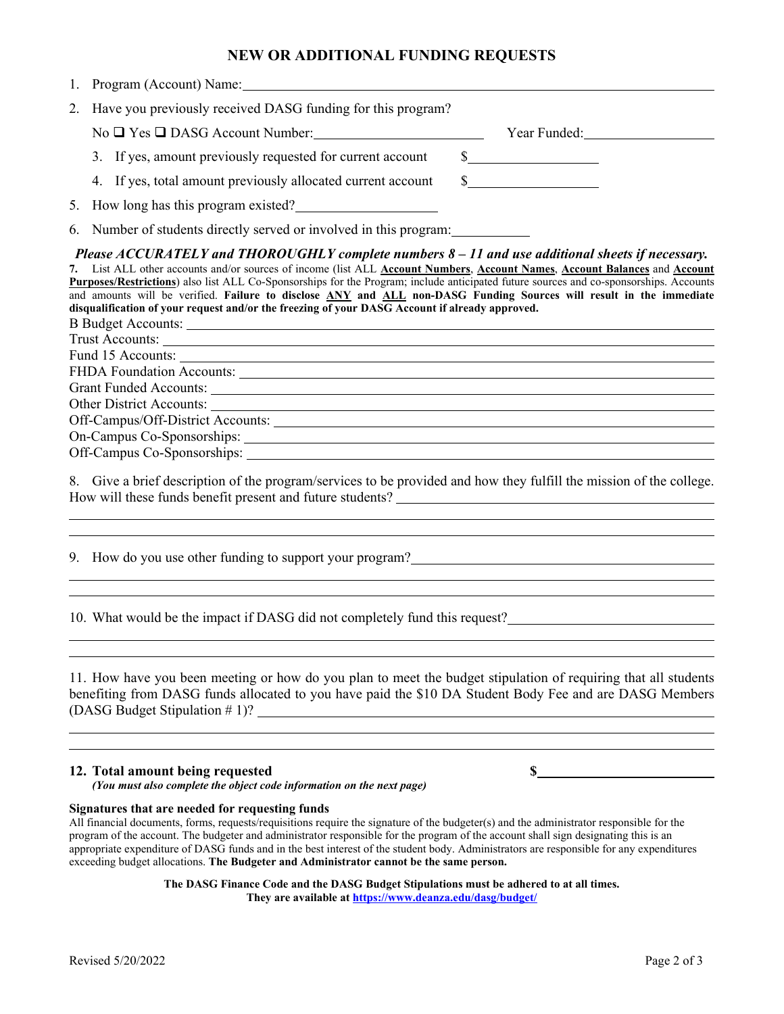## **NEW OR ADDITIONAL FUNDING REQUESTS**

| 1. Program (Account) Name: |  |
|----------------------------|--|
|                            |  |

2. Have you previously received DASG funding for this program?

No  $\Box$  Yes  $\Box$  DASG Account Number: Year Funded:

| 3. If yes, amount previously requested for current account |  |  |
|------------------------------------------------------------|--|--|
|------------------------------------------------------------|--|--|

4. If yes, total amount previously allocated current account \$

5. How long has this program existed?

6. Number of students directly served or involved in this program:

*Please ACCURATELY and THOROUGHLY complete numbers 8 – 11 and use additional sheets if necessary.*

**7.** List ALL other accounts and/or sources of income (list ALL **Account Numbers**, **Account Names**, **Account Balances** and **Account Purposes/Restrictions**) also list ALL Co-Sponsorships for the Program; include anticipated future sources and co-sponsorships. Accounts and amounts will be verified. **Failure to disclose ANY and ALL non-DASG Funding Sources will result in the immediate disqualification of your request and/or the freezing of your DASG Account if already approved.**

B Budget Accounts: Trust Accounts:

 $\overline{a}$ 

 

 

 

Fund 15 Accounts: FHDA Foundation Accounts: Grant Funded Accounts:

Other District Accounts:

Off-Campus/Off-District Accounts:

On-Campus Co-Sponsorships: Off-Campus Co-Sponsorships:

8. Give a brief description of the program/services to be provided and how they fulfill the mission of the college. How will these funds benefit present and future students?

9. How do you use other funding to support your program?

10. What would be the impact if DASG did not completely fund this request?

11. How have you been meeting or how do you plan to meet the budget stipulation of requiring that all students benefiting from DASG funds allocated to you have paid the \$10 DA Student Body Fee and are DASG Members (DASG Budget Stipulation # 1)?

## **12. Total amount being requested \$**

*(You must also complete the object code information on the next page)*

**Signatures that are needed for requesting funds**

All financial documents, forms, requests/requisitions require the signature of the budgeter(s) and the administrator responsible for the program of the account. The budgeter and administrator responsible for the program of the account shall sign designating this is an appropriate expenditure of DASG funds and in the best interest of the student body. Administrators are responsible for any expenditures exceeding budget allocations. **The Budgeter and Administrator cannot be the same person.**

> **The DASG Finance Code and the DASG Budget Stipulations must be adhered to at all times. They are available a[t https://www.deanza.edu/dasg/budget/](https://www.deanza.edu/dasg/budget/)**